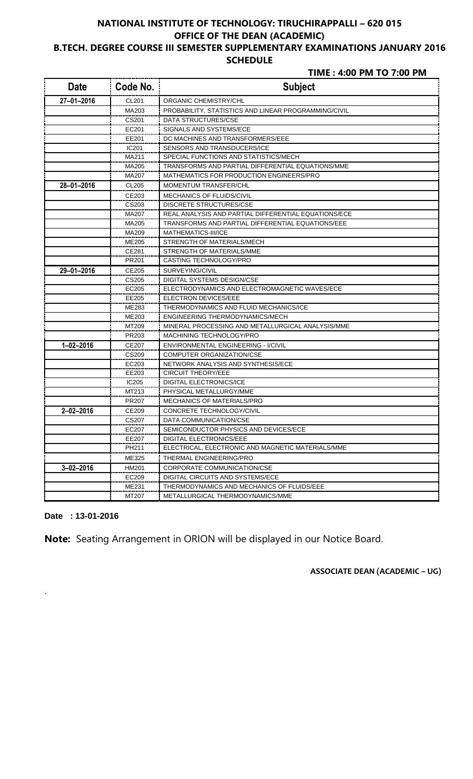# **NATIONAL INSTITUTE OF TECHNOLOGY: TIRUCHIRAPPALLI – 620 015 OFFICE OF THE DEAN (ACADEMIC) B.TECH. DEGREE COURSE III SEMESTER SUPPLEMENTARY EXAMINATIONS JANUARY 2016**

#### **SCHEDULE**

 **TIME : 4:00 PM TO 7:00 PM**

| <b>Date</b>      | Code No.          | <b>Subject</b>                                       |
|------------------|-------------------|------------------------------------------------------|
| 27-01-2016       | CL201             | ORGANIC CHEMISTRY/CHL                                |
|                  | MA203             | PROBABILITY, STATISTICS AND LINEAR PROGRAMMING/CIVIL |
|                  | CS201             | DATA STRUCTURES/CSE                                  |
|                  | EC201             | SIGNALS AND SYSTEMS/ECE                              |
|                  | EE201             | DC MACHINES AND TRANSFORMERS/EEE                     |
|                  | IC <sub>201</sub> | SENSORS AND TRANSDUCERS/ICE                          |
|                  | MA211             | SPECIAL FUNCTIONS AND STATISTICS/MECH                |
|                  | MA205             | TRANSFORMS AND PARTIAL DIFFERENTIAL EQUATIONS/MME    |
|                  | MA207             | MATHEMATICS FOR PRODUCTION ENGINEERS/PRO             |
| $28 - 01 - 2016$ | <b>CL205</b>      | <b>MOMENTUM TRANSFER/CHL</b>                         |
|                  | CE203             | <b>MECHANICS OF FLUIDS/CIVIL</b>                     |
|                  | CS203             | <b>DISCRETE STRUCTURES/CSE</b>                       |
|                  | MA207             | REAL ANALYSIS AND PARTIAL DIFFERENTIAL EQUATIONS/ECE |
|                  | MA205             | TRANSFORMS AND PARTIAL DIFFERENTIAL EQUATIONS/EEE    |
|                  | MA209             | MATHEMATICS-III/ICE                                  |
|                  | <b>ME205</b>      | STRENGTH OF MATERIALS/MECH                           |
|                  | CE281             | STRENGTH OF MATERIALS/MME                            |
|                  | PR201             | CASTING TECHNOLOGY/PRO                               |
| 29-01-2016       | CE205             | SURVEYING/CIVIL                                      |
|                  | CS205             | <b>DIGITAL SYSTEMS DESIGN/CSE</b>                    |
|                  | EC205             | ELECTRODYNAMICS AND ELECTROMAGNETIC WAVES/ECE        |
|                  | EE205             | <b>ELECTRON DEVICES/EEE</b>                          |
|                  | ME283             | THERMODYNAMICS AND FLUID MECHANICS/ICE               |
|                  | ME203             | ENGINEERING THERMODYNAMICS/MECH                      |
|                  | MT209             | MINERAL PROCESSING AND METALLURGICAL ANALYSIS/MME    |
|                  | PR203             | MACHINING TECHNOLOGY/PRO                             |
| $1 - 02 - 2016$  | CE207             | ENVIRONMENTAL ENGINEERING - I/CIVIL                  |
|                  | CS209             | COMPUTER ORGANIZATION/CSE                            |
|                  | EC203             | NETWORK ANALYSIS AND SYNTHESIS/ECE                   |
|                  | EE203             | <b>CIRCUIT THEORY/EEE</b>                            |
|                  | IC205             | <b>DIGITAL ELECTRONICS/ICE</b>                       |
|                  | MT213             | PHYSICAL METALLURGY/MME                              |
|                  | PR <sub>207</sub> | <b>MECHANICS OF MATERIALS/PRO</b>                    |
| $2 - 02 - 2016$  | CE209             | CONCRETE TECHNOLOGY/CIVIL                            |
|                  | CS207             | DATA COMMUNICATION/CSE                               |
|                  | EC207             | SEMICONDUCTOR PHYSICS AND DEVICES/ECE                |
|                  | EE207             | DIGITAL ELECTRONICS/EEE                              |
|                  | PH <sub>211</sub> | ELECTRICAL, ELECTRONIC AND MAGNETIC MATERIALS/MME    |
|                  | ME325             | THERMAL ENGINEERING/PRO                              |
| $3 - 02 - 2016$  | HM201             | <b>CORPORATE COMMUNICATION/CSE</b>                   |
|                  | EC209             | DIGITAL CIRCUITS AND SYSTEMS/ECE                     |
|                  | ME231             | THERMODYNAMICS AND MECHANICS OF FLUIDS/EEE           |
|                  | MT207             | METALLURGICAL THERMODYNAMICS/MME                     |

**Date : 13-01-2016** 

.

**Note:** Seating Arrangement in ORION will be displayed in our Notice Board.

 **ASSOCIATE DEAN (ACADEMIC – UG)**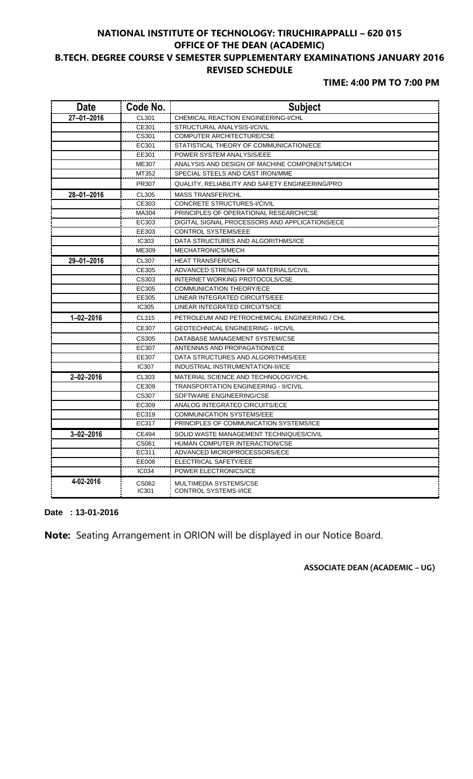## **NATIONAL INSTITUTE OF TECHNOLOGY: TIRUCHIRAPPALLI – 620 015 OFFICE OF THE DEAN (ACADEMIC) B.TECH. DEGREE COURSE V SEMESTER SUPPLEMENTARY EXAMINATIONS JANUARY 2016 REVISED SCHEDULE**

## **TIME: 4:00 PM TO 7:00 PM**

| <b>Date</b>      | Code No.       | <b>Subject</b>                                         |
|------------------|----------------|--------------------------------------------------------|
| $27 - 01 - 2016$ | CL301          | CHEMICAL REACTION ENGINEERING-I/CHL                    |
|                  | CE301          | STRUCTURAL ANALYSIS-I/CIVIL                            |
|                  | CS301          | COMPUTER ARCHITECTURE/CSE                              |
|                  | EC301          | STATISTICAL THEORY OF COMMUNICATION/ECE                |
|                  | EE301          | POWER SYSTEM ANALYSIS/EEE                              |
|                  | <b>ME307</b>   | ANALYSIS AND DESIGN OF MACHINE COMPONENTS/MECH         |
|                  | MT352          | SPECIAL STEELS AND CAST IRON/MME                       |
|                  | PR307          | QUALITY, RELIABILITY AND SAFETY ENGINEERING/PRO        |
| 28-01-2016       | CL305          | <b>MASS TRANSFER/CHL</b>                               |
|                  | CE303          | CONCRETE STRUCTURES-I/CIVIL                            |
|                  | MA304          | PRINCIPLES OF OPERATIONAL RESEARCH/CSE                 |
|                  | EC303          | DIGITAL SIGNAL PROCESSORS AND APPLICATIONS/ECE         |
|                  | EE303          | <b>CONTROL SYSTEMS/EEE</b>                             |
|                  | <b>IC303</b>   | DATA STRUCTURES AND ALGORITHMS/ICE                     |
|                  | ME309          | MECHATRONICS/MECH                                      |
| 29-01-2016       | CL307          | <b>HEAT TRANSFER/CHL</b>                               |
|                  | CE305          | ADVANCED STRENGTH OF MATERIALS/CIVIL                   |
|                  | CS303          | INTERNET WORKING PROTOCOLS/CSE                         |
|                  | EC305          | <b>COMMUNICATION THEORY/ECE</b>                        |
|                  | EE305          | LINEAR INTEGRATED CIRCUITS/EEE                         |
|                  | IC305          | LINEAR INTEGRATED CIRCUITS/ICE                         |
| $1 - 02 - 2016$  | CL315          | PETROLEUM AND PETROCHEMICAL ENGINEERING / CHL          |
|                  | CE307          | <b>GEOTECHNICAL ENGINEERING - II/CIVIL</b>             |
|                  | CS305          | DATABASE MANAGEMENT SYSTEM/CSE                         |
|                  | EC307          | ANTENNAS AND PROPAGATION/ECE                           |
|                  | EE307          | DATA STRUCTURES AND ALGORITHMS/EEE                     |
|                  | <b>IC307</b>   | INDUSTRIAL INSTRUMENTATION-II/ICE                      |
| $2 - 02 - 2016$  | CL303          | MATERIAL SCIENCE AND TECHNOLOGY/CHL                    |
|                  | CE309          | <b>TRANSPORTATION ENGINEERING - II/CIVIL</b>           |
|                  | CS307          | SOFTWARE ENGINEERING/CSE                               |
|                  | EC309          | ANALOG INTEGRATED CIRCUITS/ECE                         |
|                  | EC319          | <b>COMMUNICATION SYSTEMS/EEE</b>                       |
|                  | EC317          | PRINCIPLES OF COMMUNICATION SYSTEMS/ICE                |
| $3 - 02 - 2016$  | CE494          | SOLID WASTE MANAGEMENT TECHNIQUES/CIVIL                |
|                  | CS061          | HUMAN COMPUTER INTERACTION/CSE                         |
|                  | EC311          | ADVANCED MICROPROCESSORS/ECE                           |
|                  | EE008          | ELECTRICAL SAFETY/EEE                                  |
|                  | <b>IC034</b>   | POWER ELECTRONICS/ICE                                  |
| 4-02-2016        | CS062<br>IC301 | MULTIMEDIA SYSTEMS/CSE<br><b>CONTROL SYSTEMS-I/ICE</b> |

**Date : 13-01-2016** 

**Note:** Seating Arrangement in ORION will be displayed in our Notice Board.

 **ASSOCIATE DEAN (ACADEMIC – UG)**